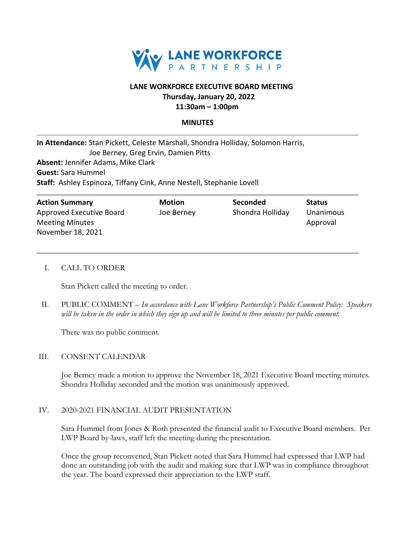

# **LANE WORKFORCE EXECUTIVE BOARD MEETING Thursday, January 20, 2022**

## **11:30am – 1:00pm**

#### **MINUTES**

| In Attendance: Stan Pickett, Celeste Marshall, Shondra Holliday, Solomon Harris, |  |  |  |
|----------------------------------------------------------------------------------|--|--|--|
| Joe Berney, Greg Ervin, Damien Pitts                                             |  |  |  |
| <b>Absent: Jennifer Adams, Mike Clark</b>                                        |  |  |  |
| <b>Guest:</b> Sara Hummel                                                        |  |  |  |
| <b>Staff:</b> Ashley Espinoza, Tiffany Cink, Anne Nestell, Stephanie Lovell      |  |  |  |
|                                                                                  |  |  |  |

| <b>Action Summary</b>    | <b>Motion</b> | <b>Seconded</b>  | <b>Status</b> |
|--------------------------|---------------|------------------|---------------|
| Approved Executive Board | Joe Berney    | Shondra Holliday | Unanimous     |
| <b>Meeting Minutes</b>   |               |                  | Approval      |
| November 18, 2021        |               |                  |               |

## I. CALL TO ORDER

Stan Pickett called the meeting to order.

II. PUBLIC COMMENT – *In accordance with Lane Workforce Partnership's Public Comment Policy: Speakers will be taken in the order in which they sign up and will be limited to three minutes per public comment.*

There was no public comment.

#### III. CONSENT CALENDAR

Joe Berney made a motion to approve the November 18, 2021 Executive Board meeting minutes. Shondra Holliday seconded and the motion was unanimously approved.

## IV. 2020-2021 FINANCIAL AUDIT PRESENTATION

Sara Hummel from Jones & Roth presented the financial audit to Executive Board members. Per LWP Board by-laws, staff left the meeting during the presentation.

Once the group reconvened, Stan Pickett noted that Sara Hummel had expressed that LWP had done an outstanding job with the audit and making sure that LWP was in compliance throughout the year. The board expressed their appreciation to the LWP staff.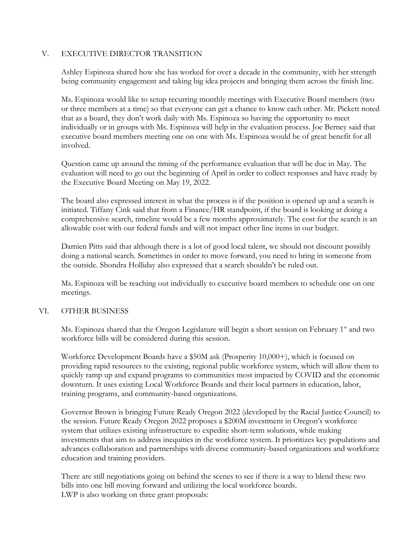## V. EXECUTIVE DIRECTOR TRANSITION

Ashley Espinoza shared how she has worked for over a decade in the community, with her strength being community engagement and taking big idea projects and bringing them across the finish line.

Ms. Espinoza would like to setup recurring monthly meetings with Executive Board members (two or three members at a time) so that everyone can get a chance to know each other. Mr. Pickett noted that as a board, they don't work daily with Ms. Espinoza so having the opportunity to meet individually or in groups with Ms. Espinoza will help in the evaluation process. Joe Berney said that executive board members meeting one on one with Ms. Espinoza would be of great benefit for all involved.

Question came up around the timing of the performance evaluation that will be due in May. The evaluation will need to go out the beginning of April in order to collect responses and have ready by the Executive Board Meeting on May 19, 2022.

The board also expressed interest in what the process is if the position is opened up and a search is initiated. Tiffany Cink said that from a Finance/HR standpoint, if the board is looking at doing a comprehensive search, timeline would be a few months approximately. The cost for the search is an allowable cost with our federal funds and will not impact other line items in our budget.

Damien Pitts said that although there is a lot of good local talent, we should not discount possibly doing a national search. Sometimes in order to move forward, you need to bring in someone from the outside. Shondra Holliday also expressed that a search shouldn't be ruled out.

Ms. Espinoza will be reaching out individually to executive board members to schedule one on one meetings.

## VI. OTHER BUSINESS

Ms. Espinoza shared that the Oregon Legislature will begin a short session on February 1<sup>st</sup> and two workforce bills will be considered during this session.

Workforce Development Boards have a \$50M ask (Prosperity 10,000+), which is focused on providing rapid resources to the existing, regional public workforce system, which will allow them to quickly ramp up and expand programs to communities most impacted by COVID and the economic downturn. It uses existing Local Workforce Boards and their local partners in education, labor, training programs, and community-based organizations.

Governor Brown is bringing Future Ready Oregon 2022 (developed by the Racial Justice Council) to the session. Future Ready Oregon 2022 proposes a \$200M investment in Oregon's workforce system that utilizes existing infrastructure to expedite short-term solutions, while making investments that aim to address inequities in the workforce system. It prioritizes key populations and advances collaboration and partnerships with diverse community-based organizations and workforce education and training providers.

There are still negotiations going on behind the scenes to see if there is a way to blend these two bills into one bill moving forward and utilizing the local workforce boards. LWP is also working on three grant proposals: